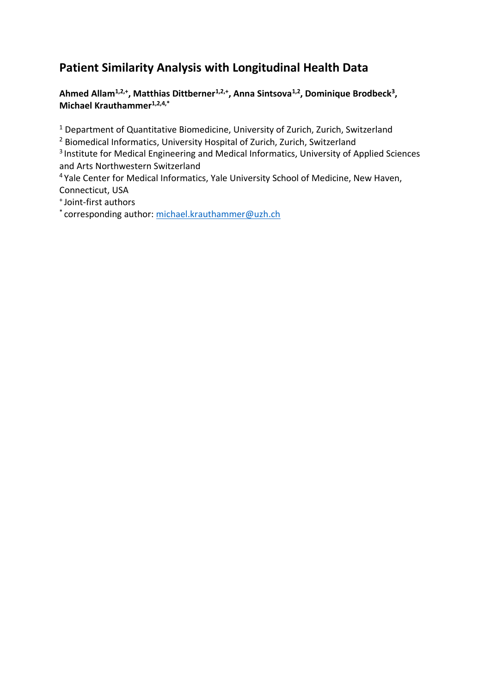# **Patient Similarity Analysis with Longitudinal Health Data**

**Ahmed Allam1,2,+, Matthias Dittberner1,2,+, Anna Sintsova1,2 , Dominique Brodbeck<sup>3</sup> , Michael Krauthammer1,2,4,\***

<sup>1</sup> Department of Quantitative Biomedicine, University of Zurich, Zurich, Switzerland

<sup>2</sup> Biomedical Informatics, University Hospital of Zurich, Zurich, Switzerland

<sup>3</sup> Institute for Medical Engineering and Medical Informatics, University of Applied Sciences and Arts Northwestern Switzerland

<sup>4</sup> Yale Center for Medical Informatics, Yale University School of Medicine, New Haven, Connecticut, USA

<sup>+</sup>Joint-first authors

\* corresponding author: [michael.krauthammer@uzh.ch](mailto:michael.krauthammer@uzh.ch)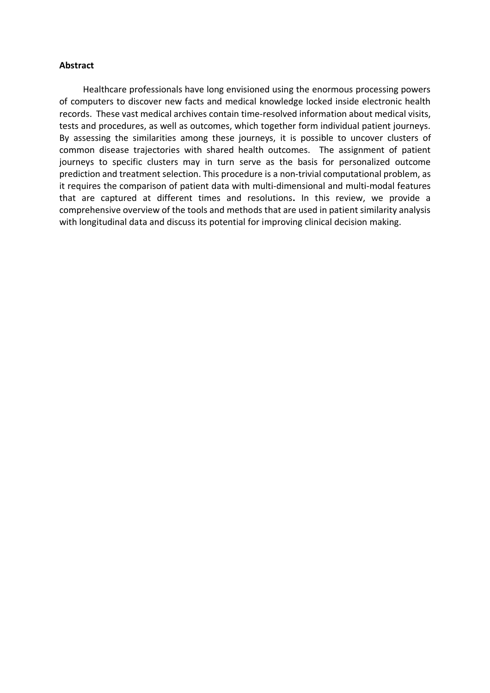#### **Abstract**

Healthcare professionals have long envisioned using the enormous processing powers of computers to discover new facts and medical knowledge locked inside electronic health records. These vast medical archives contain time-resolved information about medical visits, tests and procedures, as well as outcomes, which together form individual patient journeys. By assessing the similarities among these journeys, it is possible to uncover clusters of common disease trajectories with shared health outcomes. The assignment of patient journeys to specific clusters may in turn serve as the basis for personalized outcome prediction and treatment selection. This procedure is a non-trivial computational problem, as it requires the comparison of patient data with multi-dimensional and multi-modal features that are captured at different times and resolutions**.** In this review, we provide a comprehensive overview of the tools and methods that are used in patient similarity analysis with longitudinal data and discuss its potential for improving clinical decision making.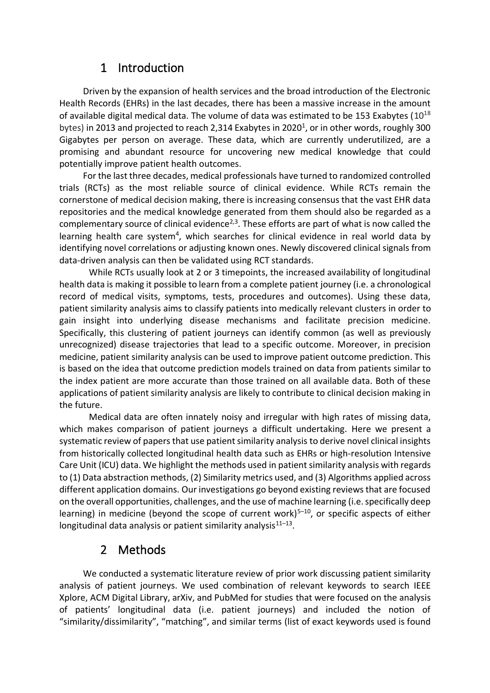# 1 Introduction

Driven by the expansion of health services and the broad introduction of the Electronic Health Records (EHRs) in the last decades, there has been a massive increase in the amount of available digital medical data. The volume of data was estimated to be 153 Exabytes ( $10^{18}$ ) bytes) in 2013 and projected to reach 2,314 Exabytes in 2020<sup>1</sup>, or in other words, roughly 300 Gigabytes per person on average. These data, which are currently underutilized, are a promising and abundant resource for uncovering new medical knowledge that could potentially improve patient health outcomes.

For the last three decades, medical professionals have turned to randomized controlled trials (RCTs) as the most reliable source of clinical evidence. While RCTs remain the cornerstone of medical decision making, there is increasing consensus that the vast EHR data repositories and the medical knowledge generated from them should also be regarded as a complementary source of clinical evidence<sup>2,3</sup>. These efforts are part of what is now called the learning health care system<sup>4</sup>, which searches for clinical evidence in real world data by identifying novel correlations or adjusting known ones. Newly discovered clinical signals from data-driven analysis can then be validated using RCT standards.

While RCTs usually look at 2 or 3 timepoints, the increased availability of longitudinal health data is making it possible to learn from a complete patient journey (i.e. a chronological record of medical visits, symptoms, tests, procedures and outcomes). Using these data, patient similarity analysis aims to classify patients into medically relevant clusters in order to gain insight into underlying disease mechanisms and facilitate precision medicine. Specifically, this clustering of patient journeys can identify common (as well as previously unrecognized) disease trajectories that lead to a specific outcome. Moreover, in precision medicine, patient similarity analysis can be used to improve patient outcome prediction. This is based on the idea that outcome prediction models trained on data from patients similar to the index patient are more accurate than those trained on all available data. Both of these applications of patient similarity analysis are likely to contribute to clinical decision making in the future.

Medical data are often innately noisy and irregular with high rates of missing data, which makes comparison of patient journeys a difficult undertaking. Here we present a systematic review of papers that use patient similarity analysis to derive novel clinical insights from historically collected longitudinal health data such as EHRs or high-resolution Intensive Care Unit (ICU) data. We highlight the methods used in patient similarity analysis with regards to (1) Data abstraction methods, (2) Similarity metrics used, and (3) Algorithms applied across different application domains. Our investigations go beyond existing reviews that are focused on the overall opportunities, challenges, and the use of machine learning (i.e. specifically deep learning) in medicine (beyond the scope of current work)<sup>5-10</sup>, or specific aspects of either longitudinal data analysis or patient similarity analysis $^{11-13}$ .

## 2 Methods

We conducted a systematic literature review of prior work discussing patient similarity analysis of patient journeys. We used combination of relevant keywords to search IEEE Xplore, ACM Digital Library, arXiv, and PubMed for studies that were focused on the analysis of patients' longitudinal data (i.e. patient journeys) and included the notion of "similarity/dissimilarity", "matching", and similar terms (list of exact keywords used is found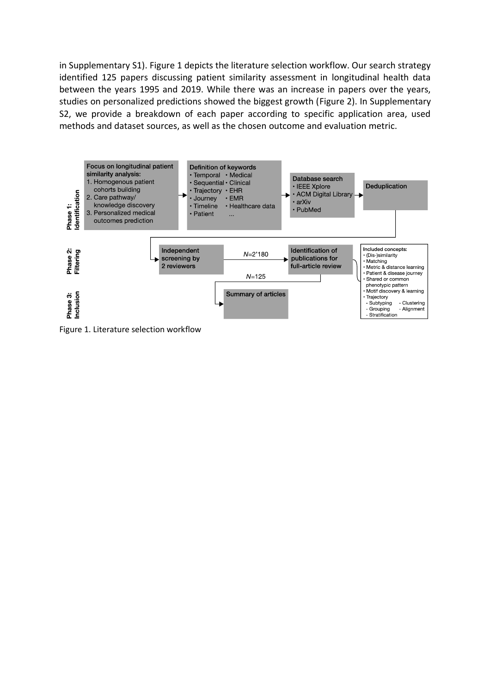in Supplementary S1). Figure 1 depicts the literature selection workflow. Our search strategy identified 125 papers discussing patient similarity assessment in longitudinal health data between the years 1995 and 2019. While there was an increase in papers over the years, studies on personalized predictions showed the biggest growth (Figure 2). In Supplementary S2, we provide a breakdown of each paper according to specific application area, used methods and dataset sources, as well as the chosen outcome and evaluation metric.



Figure 1. Literature selection workflow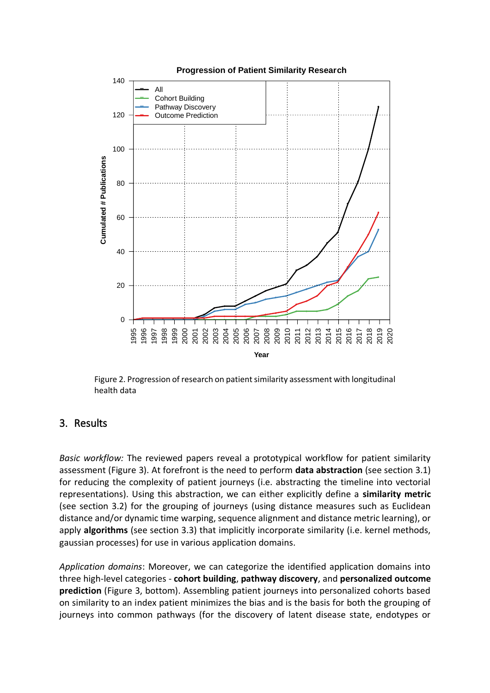

Figure 2. Progression of research on patient similarity assessment with longitudinal health data

## 3. Results

*Basic workflow:* The reviewed papers reveal a prototypical workflow for patient similarity assessment (Figure 3). At forefront is the need to perform **data abstraction** (see section 3.1) for reducing the complexity of patient journeys (i.e. abstracting the timeline into vectorial representations). Using this abstraction, we can either explicitly define a **similarity metric** (see section 3.2) for the grouping of journeys (using distance measures such as Euclidean distance and/or dynamic time warping, sequence alignment and distance metric learning), or apply **algorithms** (see section 3.3) that implicitly incorporate similarity (i.e. kernel methods, gaussian processes) for use in various application domains.

*Application domains*: Moreover, we can categorize the identified application domains into three high-level categories - **cohort building**, **pathway discovery**, and **personalized outcome prediction** (Figure 3, bottom). Assembling patient journeys into personalized cohorts based on similarity to an index patient minimizes the bias and is the basis for both the grouping of journeys into common pathways (for the discovery of latent disease state, endotypes or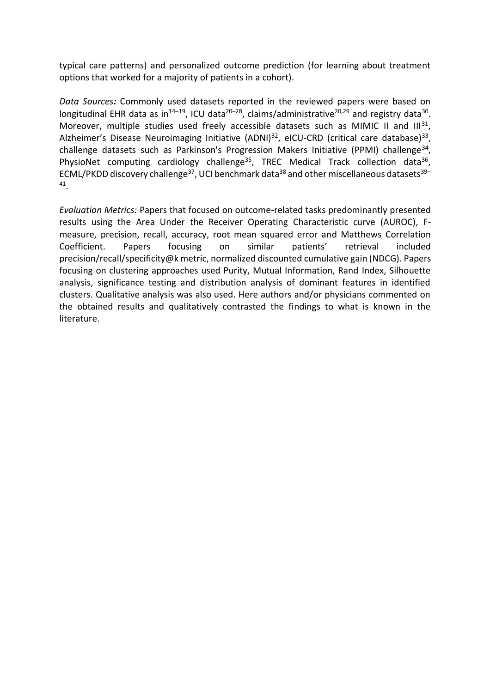typical care patterns) and personalized outcome prediction (for learning about treatment options that worked for a majority of patients in a cohort).

*Data Sources:* Commonly used datasets reported in the reviewed papers were based on longitudinal EHR data as in<sup>14–19</sup>, ICU data<sup>20–28</sup>, claims/administrative<sup>20,29</sup> and registry data<sup>30</sup>. Moreover, multiple studies used freely accessible datasets such as MIMIC II and  $III^{31}$ , Alzheimer's Disease Neuroimaging Initiative (ADNI)<sup>32</sup>, eICU-CRD (critical care database)<sup>33</sup>, challenge datasets such as Parkinson's Progression Makers Initiative (PPMI) challenge<sup>34</sup>, PhysioNet computing cardiology challenge<sup>35</sup>, TREC Medical Track collection data<sup>36</sup>, ECML/PKDD discovery challenge<sup>37</sup>, UCI benchmark data<sup>38</sup> and other miscellaneous datasets<sup>39-</sup> 41 .

*Evaluation Metrics:* Papers that focused on outcome-related tasks predominantly presented results using the Area Under the Receiver Operating Characteristic curve (AUROC), Fmeasure, precision, recall, accuracy, root mean squared error and Matthews Correlation Coefficient. Papers focusing on similar patients' retrieval included precision/recall/specificity@k metric, normalized discounted cumulative gain (NDCG). Papers focusing on clustering approaches used Purity, Mutual Information, Rand Index, Silhouette analysis, significance testing and distribution analysis of dominant features in identified clusters. Qualitative analysis was also used. Here authors and/or physicians commented on the obtained results and qualitatively contrasted the findings to what is known in the literature.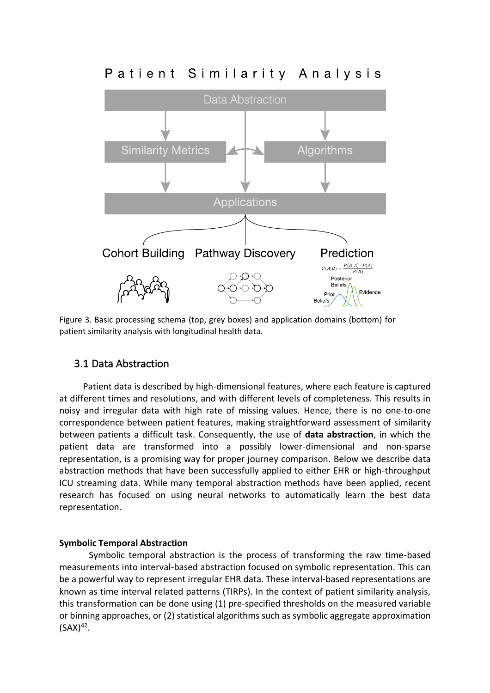# Patient Similarity Analysis



Figure 3. Basic processing schema (top, grey boxes) and application domains (bottom) for patient similarity analysis with longitudinal health data.

## 3.1 Data Abstraction

Patient data is described by high-dimensional features, where each feature is captured at different times and resolutions, and with different levels of completeness. This results in noisy and irregular data with high rate of missing values. Hence, there is no one-to-one correspondence between patient features, making straightforward assessment of similarity between patients a difficult task. Consequently, the use of **data abstraction**, in which the patient data are transformed into a possibly lower-dimensional and non-sparse representation, is a promising way for proper journey comparison. Below we describe data abstraction methods that have been successfully applied to either EHR or high-throughput ICU streaming data. While many temporal abstraction methods have been applied, recent research has focused on using neural networks to automatically learn the best data representation.

### **Symbolic Temporal Abstraction**

Symbolic temporal abstraction is the process of transforming the raw time-based measurements into interval-based abstraction focused on symbolic representation. This can be a powerful way to represent irregular EHR data. These interval-based representations are known as time interval related patterns (TIRPs). In the context of patient similarity analysis, this transformation can be done using (1) pre-specified thresholds on the measured variable or binning approaches, or (2) statistical algorithms such as symbolic aggregate approximation  $(SAX)^{42}$ .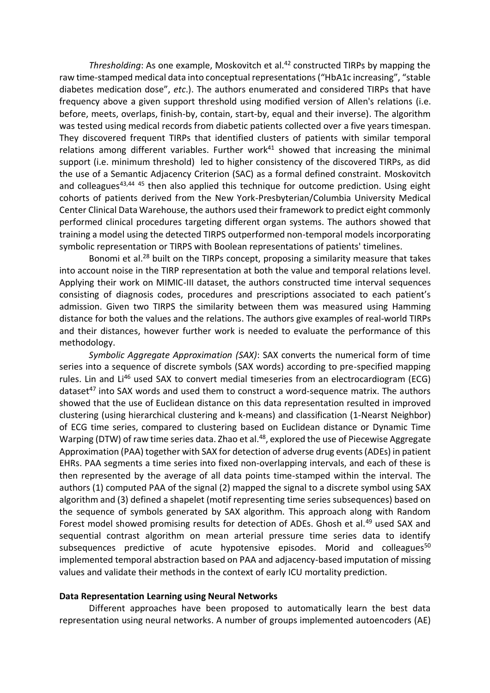*Thresholding*: As one example, Moskovitch et al.<sup>42</sup> constructed TIRPs by mapping the raw time-stamped medical data into conceptual representations ("HbA1c increasing", "stable diabetes medication dose", *etc*.). The authors enumerated and considered TIRPs that have frequency above a given support threshold using modified version of Allen's relations (i.e. before, meets, overlaps, finish-by, contain, start-by, equal and their inverse). The algorithm was tested using medical records from diabetic patients collected over a five years timespan. They discovered frequent TIRPs that identified clusters of patients with similar temporal relations among different variables. Further work $41$  showed that increasing the minimal support (i.e. minimum threshold) led to higher consistency of the discovered TIRPs, as did the use of a Semantic Adjacency Criterion (SAC) as a formal defined constraint. Moskovitch and colleagues<sup>43,44 45</sup> then also applied this technique for outcome prediction. Using eight cohorts of patients derived from the New York-Presbyterian/Columbia University Medical Center Clinical Data Warehouse, the authors used their framework to predict eight commonly performed clinical procedures targeting different organ systems. The authors showed that training a model using the detected TIRPS outperformed non-temporal models incorporating symbolic representation or TIRPS with Boolean representations of patients' timelines.

Bonomi et al.<sup>28</sup> built on the TIRPs concept, proposing a similarity measure that takes into account noise in the TIRP representation at both the value and temporal relations level. Applying their work on MIMIC-III dataset, the authors constructed time interval sequences consisting of diagnosis codes, procedures and prescriptions associated to each patient's admission. Given two TIRPS the similarity between them was measured using Hamming distance for both the values and the relations. The authors give examples of real-world TIRPs and their distances, however further work is needed to evaluate the performance of this methodology.

*Symbolic Aggregate Approximation (SAX)*: SAX converts the numerical form of time series into a sequence of discrete symbols (SAX words) according to pre-specified mapping rules. Lin and Li<sup>46</sup> used SAX to convert medial timeseries from an electrocardiogram (ECG) dataset<sup>47</sup> into SAX words and used them to construct a word-sequence matrix. The authors showed that the use of Euclidean distance on this data representation resulted in improved clustering (using hierarchical clustering and k-means) and classification (1-Nearst Neighbor) of ECG time series, compared to clustering based on Euclidean distance or Dynamic Time Warping (DTW) of raw time series data. Zhao et al.<sup>48</sup>, explored the use of Piecewise Aggregate Approximation (PAA) together with SAX for detection of adverse drug events (ADEs) in patient EHRs. PAA segments a time series into fixed non-overlapping intervals, and each of these is then represented by the average of all data points time-stamped within the interval. The authors (1) computed PAA of the signal (2) mapped the signal to a discrete symbol using SAX algorithm and (3) defined a shapelet (motif representing time series subsequences) based on the sequence of symbols generated by SAX algorithm. This approach along with Random Forest model showed promising results for detection of ADEs. Ghosh et al.<sup>49</sup> used SAX and sequential contrast algorithm on mean arterial pressure time series data to identify subsequences predictive of acute hypotensive episodes. Morid and colleagues<sup>50</sup> implemented temporal abstraction based on PAA and adjacency-based imputation of missing values and validate their methods in the context of early ICU mortality prediction.

#### **Data Representation Learning using Neural Networks**

Different approaches have been proposed to automatically learn the best data representation using neural networks. A number of groups implemented autoencoders (AE)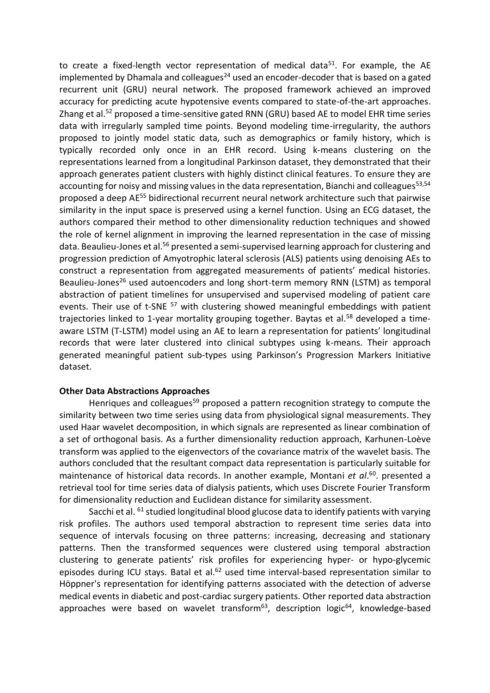to create a fixed-length vector representation of medical data<sup>51</sup>. For example, the AE implemented by Dhamala and colleagues<sup>24</sup> used an encoder-decoder that is based on a gated recurrent unit (GRU) neural network. The proposed framework achieved an improved accuracy for predicting acute hypotensive events compared to state-of-the-art approaches. Zhang et al.<sup>52</sup> proposed a time-sensitive gated RNN (GRU) based AE to model EHR time series data with irregularly sampled time points. Beyond modeling time-irregularity, the authors proposed to jointly model static data, such as demographics or family history, which is typically recorded only once in an EHR record. Using k-means clustering on the representations learned from a longitudinal Parkinson dataset, they demonstrated that their approach generates patient clusters with highly distinct clinical features. To ensure they are accounting for noisy and missing values in the data representation, Bianchi and colleagues<sup>53,54</sup> proposed a deep AE<sup>55</sup> bidirectional recurrent neural network architecture such that pairwise similarity in the input space is preserved using a kernel function. Using an ECG dataset, the authors compared their method to other dimensionality reduction techniques and showed the role of kernel alignment in improving the learned representation in the case of missing data. Beaulieu-Jones et al.<sup>56</sup> presented a semi-supervised learning approach for clustering and progression prediction of Amyotrophic lateral sclerosis (ALS) patients using denoising AEs to construct a representation from aggregated measurements of patients' medical histories. Beaulieu-Jones<sup>26</sup> used autoencoders and long short-term memory RNN (LSTM) as temporal abstraction of patient timelines for unsupervised and supervised modeling of patient care events. Their use of t-SNE <sup>57</sup> with clustering showed meaningful embeddings with patient trajectories linked to 1-year mortality grouping together. Baytas et al.<sup>58</sup> developed a timeaware LSTM (T-LSTM) model using an AE to learn a representation for patients' longitudinal records that were later clustered into clinical subtypes using k-means. Their approach generated meaningful patient sub-types using Parkinson's Progression Markers Initiative dataset.

#### **Other Data Abstractions Approaches**

Henriques and colleagues<sup>59</sup> proposed a pattern recognition strategy to compute the similarity between two time series using data from physiological signal measurements. They used Haar wavelet decomposition, in which signals are represented as linear combination of a set of orthogonal basis. As a further dimensionality reduction approach, Karhunen-Loève transform was applied to the eigenvectors of the covariance matrix of the wavelet basis. The authors concluded that the resultant compact data representation is particularly suitable for maintenance of historical data records. In another example, Montani *et al*. 60 . presented a retrieval tool for time series data of dialysis patients, which uses Discrete Fourier Transform for dimensionality reduction and Euclidean distance for similarity assessment.

Sacchi et al. <sup>61</sup> studied longitudinal blood glucose data to identify patients with varying risk profiles. The authors used temporal abstraction to represent time series data into sequence of intervals focusing on three patterns: increasing, decreasing and stationary patterns. Then the transformed sequences were clustered using temporal abstraction clustering to generate patients' risk profiles for experiencing hyper- or hypo-glycemic episodes during ICU stays. Batal et al.<sup>62</sup> used time interval-based representation similar to Höppner's representation for identifying patterns associated with the detection of adverse medical events in diabetic and post-cardiac surgery patients. Other reported data abstraction approaches were based on wavelet transform<sup>63</sup>, description logic<sup>64</sup>, knowledge-based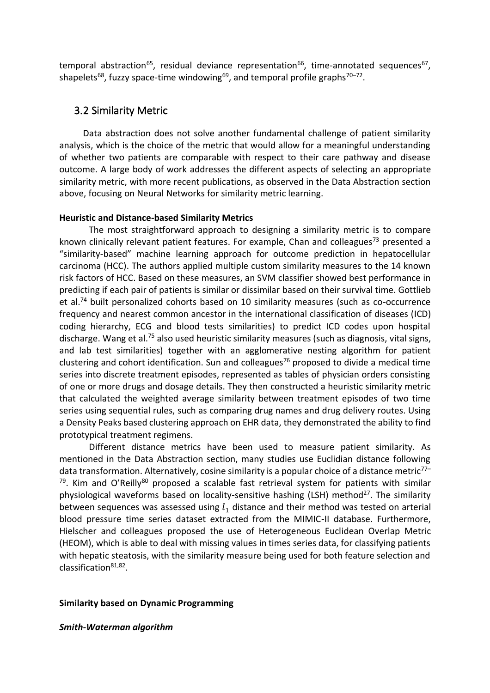temporal abstraction<sup>65</sup>, residual deviance representation<sup>66</sup>, time-annotated sequences<sup>67</sup>, shapelets<sup>68</sup>, fuzzy space-time windowing<sup>69</sup>, and temporal profile graphs<sup>70–72</sup>.

### 3.2 Similarity Metric

Data abstraction does not solve another fundamental challenge of patient similarity analysis, which is the choice of the metric that would allow for a meaningful understanding of whether two patients are comparable with respect to their care pathway and disease outcome. A large body of work addresses the different aspects of selecting an appropriate similarity metric, with more recent publications, as observed in the Data Abstraction section above, focusing on Neural Networks for similarity metric learning.

#### **Heuristic and Distance-based Similarity Metrics**

The most straightforward approach to designing a similarity metric is to compare known clinically relevant patient features. For example, Chan and colleagues<sup>73</sup> presented a "similarity-based" machine learning approach for outcome prediction in hepatocellular carcinoma (HCC). The authors applied multiple custom similarity measures to the 14 known risk factors of HCC. Based on these measures, an SVM classifier showed best performance in predicting if each pair of patients is similar or dissimilar based on their survival time. Gottlieb et al.<sup>74</sup> built personalized cohorts based on 10 similarity measures (such as co-occurrence frequency and nearest common ancestor in the international classification of diseases (ICD) coding hierarchy, ECG and blood tests similarities) to predict ICD codes upon hospital discharge. Wang et al.<sup>75</sup> also used heuristic similarity measures (such as diagnosis, vital signs, and lab test similarities) together with an agglomerative nesting algorithm for patient clustering and cohort identification. Sun and colleagues<sup>76</sup> proposed to divide a medical time series into discrete treatment episodes, represented as tables of physician orders consisting of one or more drugs and dosage details. They then constructed a heuristic similarity metric that calculated the weighted average similarity between treatment episodes of two time series using sequential rules, such as comparing drug names and drug delivery routes. Using a Density Peaks based clustering approach on EHR data, they demonstrated the ability to find prototypical treatment regimens.

Different distance metrics have been used to measure patient similarity. As mentioned in the Data Abstraction section, many studies use Euclidian distance following data transformation. Alternatively, cosine similarity is a popular choice of a distance metric<sup>77-</sup> <sup>79</sup>. Kim and O'Reilly<sup>80</sup> proposed a scalable fast retrieval system for patients with similar physiological waveforms based on locality-sensitive hashing (LSH) method<sup>27</sup>. The similarity between sequences was assessed using  $l_1$  distance and their method was tested on arterial blood pressure time series dataset extracted from the MIMIC-II database. Furthermore, Hielscher and colleagues proposed the use of Heterogeneous Euclidean Overlap Metric (HEOM), which is able to deal with missing values in times series data, for classifying patients with hepatic steatosis, with the similarity measure being used for both feature selection and classification<sup>81,82</sup>.

#### **Similarity based on Dynamic Programming**

*Smith-Waterman algorithm*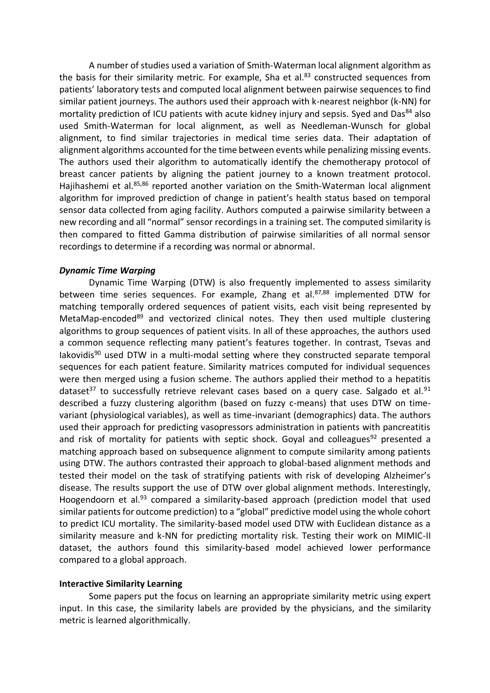A number of studies used a variation of Smith-Waterman local alignment algorithm as the basis for their similarity metric. For example, Sha et al. $83$  constructed sequences from patients' laboratory tests and computed local alignment between pairwise sequences to find similar patient journeys. The authors used their approach with k-nearest neighbor (k-NN) for mortality prediction of ICU patients with acute kidney injury and sepsis. Syed and Das<sup>84</sup> also used Smith-Waterman for local alignment, as well as Needleman-Wunsch for global alignment, to find similar trajectories in medical time series data. Their adaptation of alignment algorithms accounted for the time between events while penalizing missing events. The authors used their algorithm to automatically identify the chemotherapy protocol of breast cancer patients by aligning the patient journey to a known treatment protocol. Hajihashemi et al.<sup>85,86</sup> reported another variation on the Smith-Waterman local alignment algorithm for improved prediction of change in patient's health status based on temporal sensor data collected from aging facility. Authors computed a pairwise similarity between a new recording and all "normal" sensor recordings in a training set. The computed similarity is then compared to fitted Gamma distribution of pairwise similarities of all normal sensor recordings to determine if a recording was normal or abnormal.

#### *Dynamic Time Warping*

Dynamic Time Warping (DTW) is also frequently implemented to assess similarity between time series sequences. For example, Zhang et al.<sup>87,88</sup> implemented DTW for matching temporally ordered sequences of patient visits, each visit being represented by MetaMap-encoded<sup>89</sup> and vectorized clinical notes. They then used multiple clustering algorithms to group sequences of patient visits. In all of these approaches, the authors used a common sequence reflecting many patient's features together. In contrast, Tsevas and  $I$ akovidis<sup>90</sup> used DTW in a multi-modal setting where they constructed separate temporal sequences for each patient feature. Similarity matrices computed for individual sequences were then merged using a fusion scheme. The authors applied their method to a hepatitis dataset<sup>37</sup> to successfully retrieve relevant cases based on a query case. Salgado et al.<sup>91</sup> described a fuzzy clustering algorithm (based on fuzzy c-means) that uses DTW on timevariant (physiological variables), as well as time-invariant (demographics) data. The authors used their approach for predicting vasopressors administration in patients with pancreatitis and risk of mortality for patients with septic shock. Goyal and colleagues<sup>92</sup> presented a matching approach based on subsequence alignment to compute similarity among patients using DTW. The authors contrasted their approach to global-based alignment methods and tested their model on the task of stratifying patients with risk of developing Alzheimer's disease. The results support the use of DTW over global alignment methods. Interestingly, Hoogendoorn et al.<sup>93</sup> compared a similarity-based approach (prediction model that used similar patients for outcome prediction) to a "global" predictive model using the whole cohort to predict ICU mortality. The similarity-based model used DTW with Euclidean distance as a similarity measure and k-NN for predicting mortality risk. Testing their work on MIMIC-II dataset, the authors found this similarity-based model achieved lower performance compared to a global approach.

#### **Interactive Similarity Learning**

Some papers put the focus on learning an appropriate similarity metric using expert input. In this case, the similarity labels are provided by the physicians, and the similarity metric is learned algorithmically.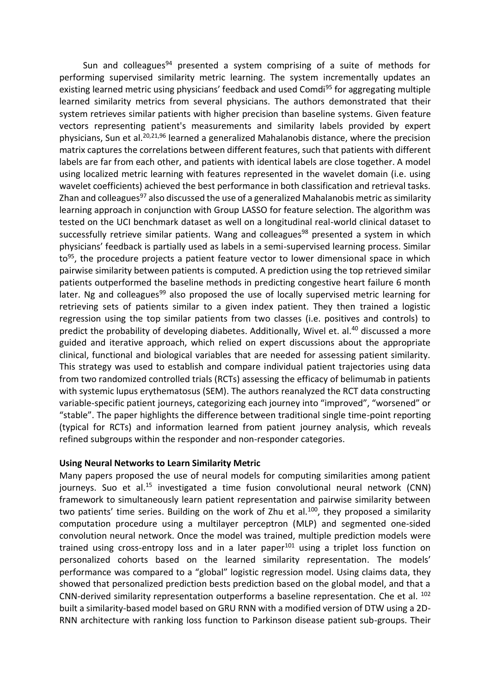Sun and colleagues<sup>94</sup> presented a system comprising of a suite of methods for performing supervised similarity metric learning. The system incrementally updates an existing learned metric using physicians' feedback and used Comdi<sup>95</sup> for aggregating multiple learned similarity metrics from several physicians. The authors demonstrated that their system retrieves similar patients with higher precision than baseline systems. Given feature vectors representing patient's measurements and similarity labels provided by expert physicians, Sun et al.<sup>20,21,96</sup> learned a generalized Mahalanobis distance, where the precision matrix captures the correlations between different features, such that patients with different labels are far from each other, and patients with identical labels are close together. A model using localized metric learning with features represented in the wavelet domain (i.e. using wavelet coefficients) achieved the best performance in both classification and retrieval tasks. Zhan and colleagues<sup>97</sup> also discussed the use of a generalized Mahalanobis metric as similarity learning approach in conjunction with Group LASSO for feature selection. The algorithm was tested on the UCI benchmark dataset as well on a longitudinal real-world clinical dataset to successfully retrieve similar patients. Wang and colleagues<sup>98</sup> presented a system in which physicians' feedback is partially used as labels in a semi-supervised learning process. Similar to<sup>95</sup>, the procedure projects a patient feature vector to lower dimensional space in which pairwise similarity between patients is computed. A prediction using the top retrieved similar patients outperformed the baseline methods in predicting congestive heart failure 6 month later. Ng and colleagues<sup>99</sup> also proposed the use of locally supervised metric learning for retrieving sets of patients similar to a given index patient. They then trained a logistic regression using the top similar patients from two classes (i.e. positives and controls) to predict the probability of developing diabetes. Additionally, Wivel et. al.<sup>40</sup> discussed a more guided and iterative approach, which relied on expert discussions about the appropriate clinical, functional and biological variables that are needed for assessing patient similarity. This strategy was used to establish and compare individual patient trajectories using data from two randomized controlled trials (RCTs) assessing the efficacy of belimumab in patients with systemic lupus erythematosus (SEM). The authors reanalyzed the RCT data constructing variable-specific patient journeys, categorizing each journey into "improved", "worsened" or "stable". The paper highlights the difference between traditional single time-point reporting (typical for RCTs) and information learned from patient journey analysis, which reveals refined subgroups within the responder and non-responder categories.

### **Using Neural Networks to Learn Similarity Metric**

Many papers proposed the use of neural models for computing similarities among patient journeys. Suo et al.<sup>15</sup> investigated a time fusion convolutional neural network (CNN) framework to simultaneously learn patient representation and pairwise similarity between two patients' time series. Building on the work of Zhu et al.<sup>100</sup>, they proposed a similarity computation procedure using a multilayer perceptron (MLP) and segmented one-sided convolution neural network. Once the model was trained, multiple prediction models were trained using cross-entropy loss and in a later paper $101$  using a triplet loss function on personalized cohorts based on the learned similarity representation. The models' performance was compared to a "global" logistic regression model. Using claims data, they showed that personalized prediction bests prediction based on the global model, and that a CNN-derived similarity representation outperforms a baseline representation. Che et al.  $102$ built a similarity-based model based on GRU RNN with a modified version of DTW using a 2D-RNN architecture with ranking loss function to Parkinson disease patient sub-groups. Their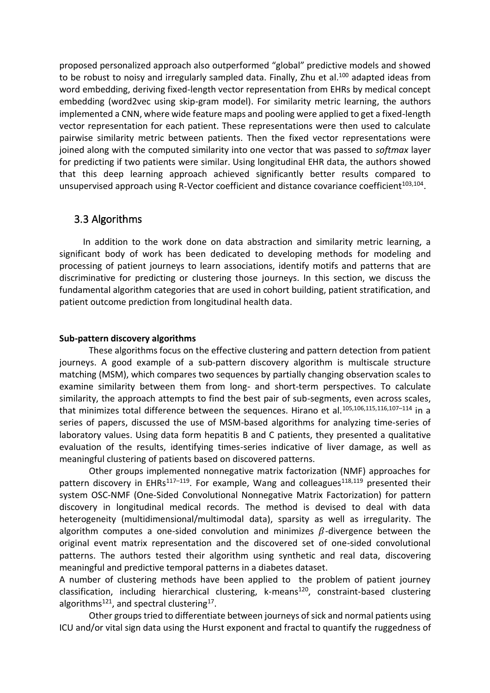proposed personalized approach also outperformed "global" predictive models and showed to be robust to noisy and irregularly sampled data. Finally, Zhu et al.<sup>100</sup> adapted ideas from word embedding, deriving fixed-length vector representation from EHRs by medical concept embedding (word2vec using skip-gram model). For similarity metric learning, the authors implemented a CNN, where wide feature maps and pooling were applied to get a fixed-length vector representation for each patient. These representations were then used to calculate pairwise similarity metric between patients. Then the fixed vector representations were joined along with the computed similarity into one vector that was passed to *softmax* layer for predicting if two patients were similar. Using longitudinal EHR data, the authors showed that this deep learning approach achieved significantly better results compared to unsupervised approach using R-Vector coefficient and distance covariance coefficient<sup>103,104</sup>.

### 3.3 Algorithms

In addition to the work done on data abstraction and similarity metric learning, a significant body of work has been dedicated to developing methods for modeling and processing of patient journeys to learn associations, identify motifs and patterns that are discriminative for predicting or clustering those journeys. In this section, we discuss the fundamental algorithm categories that are used in cohort building, patient stratification, and patient outcome prediction from longitudinal health data.

#### **Sub-pattern discovery algorithms**

These algorithms focus on the effective clustering and pattern detection from patient journeys. A good example of a sub-pattern discovery algorithm is multiscale structure matching (MSM), which compares two sequences by partially changing observation scales to examine similarity between them from long- and short-term perspectives. To calculate similarity, the approach attempts to find the best pair of sub-segments, even across scales, that minimizes total difference between the sequences. Hirano et al.<sup>105,106,115,116,107-114</sup> in a series of papers, discussed the use of MSM-based algorithms for analyzing time-series of laboratory values. Using data form hepatitis B and C patients, they presented a qualitative evaluation of the results, identifying times-series indicative of liver damage, as well as meaningful clustering of patients based on discovered patterns.

Other groups implemented nonnegative matrix factorization (NMF) approaches for pattern discovery in EHRs<sup>117-119</sup>. For example, Wang and colleagues<sup>118,119</sup> presented their system OSC-NMF (One-Sided Convolutional Nonnegative Matrix Factorization) for pattern discovery in longitudinal medical records. The method is devised to deal with data heterogeneity (multidimensional/multimodal data), sparsity as well as irregularity. The algorithm computes a one-sided convolution and minimizes  $\beta$ -divergence between the original event matrix representation and the discovered set of one-sided convolutional patterns. The authors tested their algorithm using synthetic and real data, discovering meaningful and predictive temporal patterns in a diabetes dataset.

A number of clustering methods have been applied to the problem of patient journey classification, including hierarchical clustering, k-means<sup>120</sup>, constraint-based clustering algorithms<sup>121</sup>, and spectral clustering<sup>17</sup>.

Other groups tried to differentiate between journeys of sick and normal patients using ICU and/or vital sign data using the Hurst exponent and fractal to quantify the ruggedness of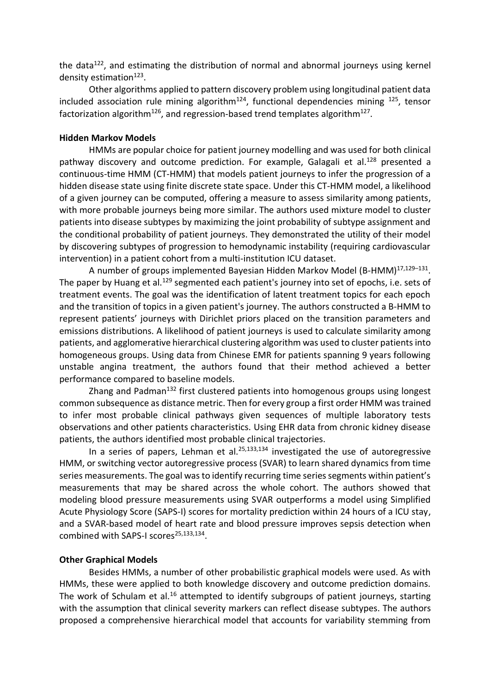the data $122$ , and estimating the distribution of normal and abnormal journeys using kernel density estimation<sup>123</sup>.

Other algorithms applied to pattern discovery problem using longitudinal patient data included association rule mining algorithm<sup>124</sup>, functional dependencies mining  $^{125}$ , tensor factorization algorithm<sup>126</sup>, and regression-based trend templates algorithm<sup>127</sup>.

#### **Hidden Markov Models**

HMMs are popular choice for patient journey modelling and was used for both clinical pathway discovery and outcome prediction. For example, Galagali et al.<sup>128</sup> presented a continuous-time HMM (CT-HMM) that models patient journeys to infer the progression of a hidden disease state using finite discrete state space. Under this CT-HMM model, a likelihood of a given journey can be computed, offering a measure to assess similarity among patients, with more probable journeys being more similar. The authors used mixture model to cluster patients into disease subtypes by maximizing the joint probability of subtype assignment and the conditional probability of patient journeys. They demonstrated the utility of their model by discovering subtypes of progression to hemodynamic instability (requiring cardiovascular intervention) in a patient cohort from a multi-institution ICU dataset.

A number of groups implemented Bayesian Hidden Markov Model (B-HMM)<sup>17,129–131</sup>. The paper by Huang et al.<sup>129</sup> segmented each patient's journey into set of epochs, i.e. sets of treatment events. The goal was the identification of latent treatment topics for each epoch and the transition of topics in a given patient's journey. The authors constructed a B-HMM to represent patients' journeys with Dirichlet priors placed on the transition parameters and emissions distributions. A likelihood of patient journeys is used to calculate similarity among patients, and agglomerative hierarchical clustering algorithm was used to cluster patients into homogeneous groups. Using data from Chinese EMR for patients spanning 9 years following unstable angina treatment, the authors found that their method achieved a better performance compared to baseline models.

Zhang and Padman<sup>132</sup> first clustered patients into homogenous groups using longest common subsequence as distance metric. Then for every group a first order HMM was trained to infer most probable clinical pathways given sequences of multiple laboratory tests observations and other patients characteristics. Using EHR data from chronic kidney disease patients, the authors identified most probable clinical trajectories.

In a series of papers, Lehman et al. $25,133,134$  investigated the use of autoregressive HMM, or switching vector autoregressive process (SVAR) to learn shared dynamics from time series measurements. The goal was to identify recurring time series segments within patient's measurements that may be shared across the whole cohort. The authors showed that modeling blood pressure measurements using SVAR outperforms a model using Simplified Acute Physiology Score (SAPS-I) scores for mortality prediction within 24 hours of a ICU stay, and a SVAR-based model of heart rate and blood pressure improves sepsis detection when combined with SAPS-I scores<sup>25,133,134</sup>.

#### **Other Graphical Models**

Besides HMMs, a number of other probabilistic graphical models were used. As with HMMs, these were applied to both knowledge discovery and outcome prediction domains. The work of Schulam et al.<sup>16</sup> attempted to identify subgroups of patient journeys, starting with the assumption that clinical severity markers can reflect disease subtypes. The authors proposed a comprehensive hierarchical model that accounts for variability stemming from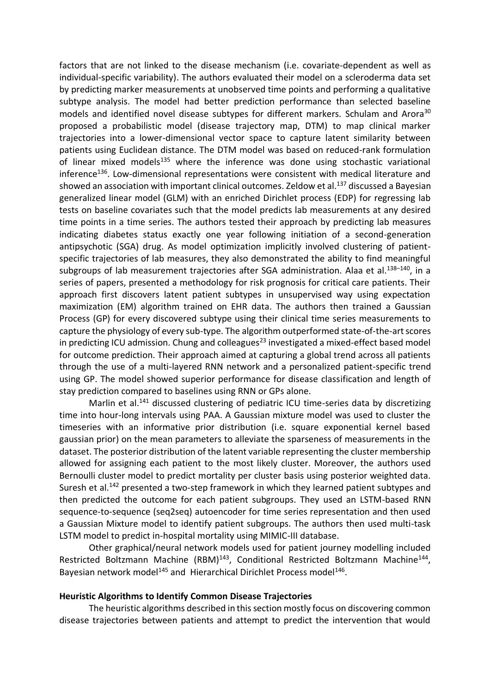factors that are not linked to the disease mechanism (i.e. covariate-dependent as well as individual-specific variability). The authors evaluated their model on a scleroderma data set by predicting marker measurements at unobserved time points and performing a qualitative subtype analysis. The model had better prediction performance than selected baseline models and identified novel disease subtypes for different markers. Schulam and Arora<sup>30</sup> proposed a probabilistic model (disease trajectory map, DTM) to map clinical marker trajectories into a lower-dimensional vector space to capture latent similarity between patients using Euclidean distance. The DTM model was based on reduced-rank formulation of linear mixed models $135$  where the inference was done using stochastic variational inference<sup>136</sup>. Low-dimensional representations were consistent with medical literature and showed an association with important clinical outcomes. Zeldow et al.<sup>137</sup> discussed a Bayesian generalized linear model (GLM) with an enriched Dirichlet process (EDP) for regressing lab tests on baseline covariates such that the model predicts lab measurements at any desired time points in a time series. The authors tested their approach by predicting lab measures indicating diabetes status exactly one year following initiation of a second-generation antipsychotic (SGA) drug. As model optimization implicitly involved clustering of patientspecific trajectories of lab measures, they also demonstrated the ability to find meaningful subgroups of lab measurement trajectories after SGA administration. Alaa et al.<sup>138-140</sup>, in a series of papers, presented a methodology for risk prognosis for critical care patients. Their approach first discovers latent patient subtypes in unsupervised way using expectation maximization (EM) algorithm trained on EHR data. The authors then trained a Gaussian Process (GP) for every discovered subtype using their clinical time series measurements to capture the physiology of every sub-type. The algorithm outperformed state-of-the-art scores in predicting ICU admission. Chung and colleagues $^{23}$  investigated a mixed-effect based model for outcome prediction. Their approach aimed at capturing a global trend across all patients through the use of a multi-layered RNN network and a personalized patient-specific trend using GP. The model showed superior performance for disease classification and length of stay prediction compared to baselines using RNN or GPs alone.

Marlin et al.<sup>141</sup> discussed clustering of pediatric ICU time-series data by discretizing time into hour-long intervals using PAA. A Gaussian mixture model was used to cluster the timeseries with an informative prior distribution (i.e. square exponential kernel based gaussian prior) on the mean parameters to alleviate the sparseness of measurements in the dataset. The posterior distribution of the latent variable representing the cluster membership allowed for assigning each patient to the most likely cluster. Moreover, the authors used Bernoulli cluster model to predict mortality per cluster basis using posterior weighted data. Suresh et al.<sup>142</sup> presented a two-step framework in which they learned patient subtypes and then predicted the outcome for each patient subgroups. They used an LSTM-based RNN sequence-to-sequence (seq2seq) autoencoder for time series representation and then used a Gaussian Mixture model to identify patient subgroups. The authors then used multi-task LSTM model to predict in-hospital mortality using MIMIC-III database.

Other graphical/neural network models used for patient journey modelling included Restricted Boltzmann Machine (RBM)<sup>143</sup>, Conditional Restricted Boltzmann Machine<sup>144</sup>, Bayesian network model<sup>145</sup> and Hierarchical Dirichlet Process model<sup>146</sup>.

#### **Heuristic Algorithms to Identify Common Disease Trajectories**

The heuristic algorithms described in this section mostly focus on discovering common disease trajectories between patients and attempt to predict the intervention that would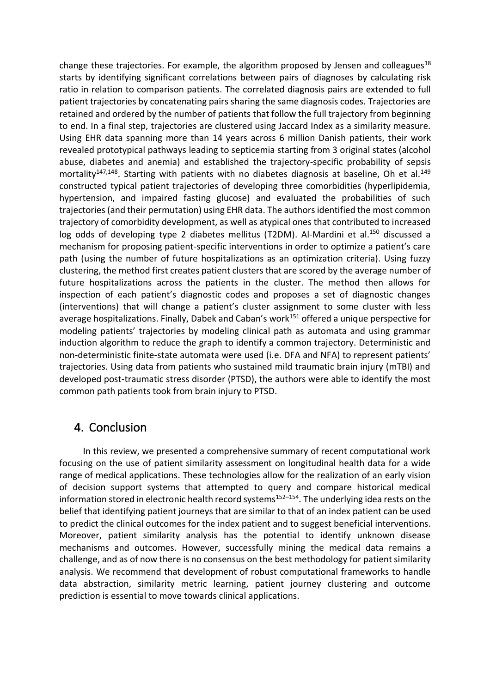change these trajectories. For example, the algorithm proposed by Jensen and colleagues<sup>18</sup> starts by identifying significant correlations between pairs of diagnoses by calculating risk ratio in relation to comparison patients. The correlated diagnosis pairs are extended to full patient trajectories by concatenating pairs sharing the same diagnosis codes. Trajectories are retained and ordered by the number of patients that follow the full trajectory from beginning to end. In a final step, trajectories are clustered using Jaccard Index as a similarity measure. Using EHR data spanning more than 14 years across 6 million Danish patients, their work revealed prototypical pathways leading to septicemia starting from 3 original states (alcohol abuse, diabetes and anemia) and established the trajectory-specific probability of sepsis mortality<sup>147,148</sup>. Starting with patients with no diabetes diagnosis at baseline, Oh et al.<sup>149</sup> constructed typical patient trajectories of developing three comorbidities (hyperlipidemia, hypertension, and impaired fasting glucose) and evaluated the probabilities of such trajectories (and their permutation) using EHR data. The authors identified the most common trajectory of comorbidity development, as well as atypical ones that contributed to increased log odds of developing type 2 diabetes mellitus (T2DM). Al-Mardini et al.<sup>150</sup> discussed a mechanism for proposing patient-specific interventions in order to optimize a patient's care path (using the number of future hospitalizations as an optimization criteria). Using fuzzy clustering, the method first creates patient clusters that are scored by the average number of future hospitalizations across the patients in the cluster. The method then allows for inspection of each patient's diagnostic codes and proposes a set of diagnostic changes (interventions) that will change a patient's cluster assignment to some cluster with less average hospitalizations. Finally, Dabek and Caban's work<sup>151</sup> offered a unique perspective for modeling patients' trajectories by modeling clinical path as automata and using grammar induction algorithm to reduce the graph to identify a common trajectory. Deterministic and non-deterministic finite-state automata were used (i.e. DFA and NFA) to represent patients' trajectories. Using data from patients who sustained mild traumatic brain injury (mTBI) and developed post-traumatic stress disorder (PTSD), the authors were able to identify the most common path patients took from brain injury to PTSD.

## 4. Conclusion

In this review, we presented a comprehensive summary of recent computational work focusing on the use of patient similarity assessment on longitudinal health data for a wide range of medical applications. These technologies allow for the realization of an early vision of decision support systems that attempted to query and compare historical medical information stored in electronic health record systems<sup>152–154</sup>. The underlying idea rests on the belief that identifying patient journeys that are similar to that of an index patient can be used to predict the clinical outcomes for the index patient and to suggest beneficial interventions. Moreover, patient similarity analysis has the potential to identify unknown disease mechanisms and outcomes. However, successfully mining the medical data remains a challenge, and as of now there is no consensus on the best methodology for patient similarity analysis. We recommend that development of robust computational frameworks to handle data abstraction, similarity metric learning, patient journey clustering and outcome prediction is essential to move towards clinical applications.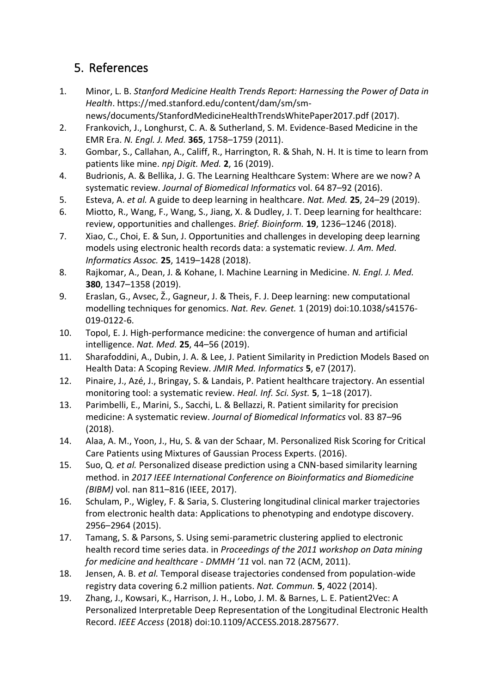# 5. References

- 1. Minor, L. B. *Stanford Medicine Health Trends Report: Harnessing the Power of Data in Health*. https://med.stanford.edu/content/dam/sm/smnews/documents/StanfordMedicineHealthTrendsWhitePaper2017.pdf (2017).
- 2. Frankovich, J., Longhurst, C. A. & Sutherland, S. M. Evidence-Based Medicine in the EMR Era. *N. Engl. J. Med.* **365**, 1758–1759 (2011).
- 3. Gombar, S., Callahan, A., Califf, R., Harrington, R. & Shah, N. H. It is time to learn from patients like mine. *npj Digit. Med.* **2**, 16 (2019).
- 4. Budrionis, A. & Bellika, J. G. The Learning Healthcare System: Where are we now? A systematic review. *Journal of Biomedical Informatics* vol. 64 87–92 (2016).
- 5. Esteva, A. *et al.* A guide to deep learning in healthcare. *Nat. Med.* **25**, 24–29 (2019).
- 6. Miotto, R., Wang, F., Wang, S., Jiang, X. & Dudley, J. T. Deep learning for healthcare: review, opportunities and challenges. *Brief. Bioinform.* **19**, 1236–1246 (2018).
- 7. Xiao, C., Choi, E. & Sun, J. Opportunities and challenges in developing deep learning models using electronic health records data: a systematic review. *J. Am. Med. Informatics Assoc.* **25**, 1419–1428 (2018).
- 8. Rajkomar, A., Dean, J. & Kohane, I. Machine Learning in Medicine. *N. Engl. J. Med.* **380**, 1347–1358 (2019).
- 9. Eraslan, G., Avsec, Ž., Gagneur, J. & Theis, F. J. Deep learning: new computational modelling techniques for genomics. *Nat. Rev. Genet.* 1 (2019) doi:10.1038/s41576- 019-0122-6.
- 10. Topol, E. J. High-performance medicine: the convergence of human and artificial intelligence. *Nat. Med.* **25**, 44–56 (2019).
- 11. Sharafoddini, A., Dubin, J. A. & Lee, J. Patient Similarity in Prediction Models Based on Health Data: A Scoping Review. *JMIR Med. Informatics* **5**, e7 (2017).
- 12. Pinaire, J., Azé, J., Bringay, S. & Landais, P. Patient healthcare trajectory. An essential monitoring tool: a systematic review. *Heal. Inf. Sci. Syst.* **5**, 1–18 (2017).
- 13. Parimbelli, E., Marini, S., Sacchi, L. & Bellazzi, R. Patient similarity for precision medicine: A systematic review. *Journal of Biomedical Informatics* vol. 83 87–96 (2018).
- 14. Alaa, A. M., Yoon, J., Hu, S. & van der Schaar, M. Personalized Risk Scoring for Critical Care Patients using Mixtures of Gaussian Process Experts. (2016).
- 15. Suo, Q. *et al.* Personalized disease prediction using a CNN-based similarity learning method. in *2017 IEEE International Conference on Bioinformatics and Biomedicine (BIBM)* vol. nan 811–816 (IEEE, 2017).
- 16. Schulam, P., Wigley, F. & Saria, S. Clustering longitudinal clinical marker trajectories from electronic health data: Applications to phenotyping and endotype discovery. 2956–2964 (2015).
- 17. Tamang, S. & Parsons, S. Using semi-parametric clustering applied to electronic health record time series data. in *Proceedings of the 2011 workshop on Data mining for medicine and healthcare - DMMH '11* vol. nan 72 (ACM, 2011).
- 18. Jensen, A. B. *et al.* Temporal disease trajectories condensed from population-wide registry data covering 6.2 million patients. *Nat. Commun.* **5**, 4022 (2014).
- 19. Zhang, J., Kowsari, K., Harrison, J. H., Lobo, J. M. & Barnes, L. E. Patient2Vec: A Personalized Interpretable Deep Representation of the Longitudinal Electronic Health Record. *IEEE Access* (2018) doi:10.1109/ACCESS.2018.2875677.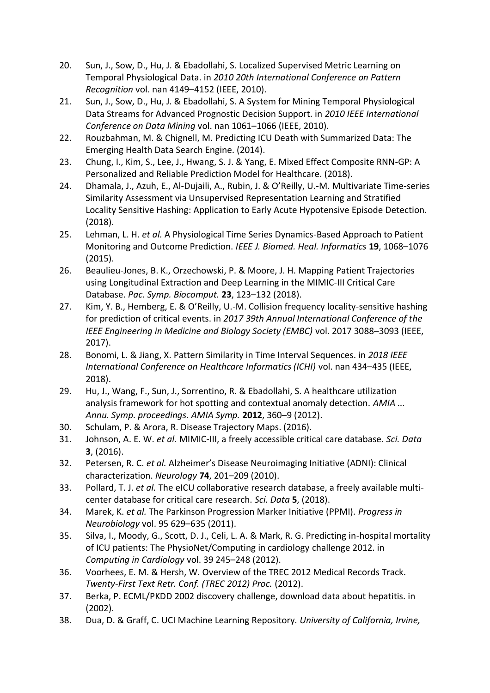- 20. Sun, J., Sow, D., Hu, J. & Ebadollahi, S. Localized Supervised Metric Learning on Temporal Physiological Data. in *2010 20th International Conference on Pattern Recognition* vol. nan 4149–4152 (IEEE, 2010).
- 21. Sun, J., Sow, D., Hu, J. & Ebadollahi, S. A System for Mining Temporal Physiological Data Streams for Advanced Prognostic Decision Support. in *2010 IEEE International Conference on Data Mining* vol. nan 1061–1066 (IEEE, 2010).
- 22. Rouzbahman, M. & Chignell, M. Predicting ICU Death with Summarized Data: The Emerging Health Data Search Engine. (2014).
- 23. Chung, I., Kim, S., Lee, J., Hwang, S. J. & Yang, E. Mixed Effect Composite RNN-GP: A Personalized and Reliable Prediction Model for Healthcare. (2018).
- 24. Dhamala, J., Azuh, E., Al-Dujaili, A., Rubin, J. & O'Reilly, U.-M. Multivariate Time-series Similarity Assessment via Unsupervised Representation Learning and Stratified Locality Sensitive Hashing: Application to Early Acute Hypotensive Episode Detection. (2018).
- 25. Lehman, L. H. *et al.* A Physiological Time Series Dynamics-Based Approach to Patient Monitoring and Outcome Prediction. *IEEE J. Biomed. Heal. Informatics* **19**, 1068–1076 (2015).
- 26. Beaulieu-Jones, B. K., Orzechowski, P. & Moore, J. H. Mapping Patient Trajectories using Longitudinal Extraction and Deep Learning in the MIMIC-III Critical Care Database. *Pac. Symp. Biocomput.* **23**, 123–132 (2018).
- 27. Kim, Y. B., Hemberg, E. & O'Reilly, U.-M. Collision frequency locality-sensitive hashing for prediction of critical events. in *2017 39th Annual International Conference of the IEEE Engineering in Medicine and Biology Society (EMBC)* vol. 2017 3088–3093 (IEEE, 2017).
- 28. Bonomi, L. & Jiang, X. Pattern Similarity in Time Interval Sequences. in *2018 IEEE International Conference on Healthcare Informatics (ICHI)* vol. nan 434–435 (IEEE, 2018).
- 29. Hu, J., Wang, F., Sun, J., Sorrentino, R. & Ebadollahi, S. A healthcare utilization analysis framework for hot spotting and contextual anomaly detection. *AMIA ... Annu. Symp. proceedings. AMIA Symp.* **2012**, 360–9 (2012).
- 30. Schulam, P. & Arora, R. Disease Trajectory Maps. (2016).
- 31. Johnson, A. E. W. *et al.* MIMIC-III, a freely accessible critical care database. *Sci. Data* **3**, (2016).
- 32. Petersen, R. C. *et al.* Alzheimer's Disease Neuroimaging Initiative (ADNI): Clinical characterization. *Neurology* **74**, 201–209 (2010).
- 33. Pollard, T. J. *et al.* The eICU collaborative research database, a freely available multicenter database for critical care research. *Sci. Data* **5**, (2018).
- 34. Marek, K. *et al.* The Parkinson Progression Marker Initiative (PPMI). *Progress in Neurobiology* vol. 95 629–635 (2011).
- 35. Silva, I., Moody, G., Scott, D. J., Celi, L. A. & Mark, R. G. Predicting in-hospital mortality of ICU patients: The PhysioNet/Computing in cardiology challenge 2012. in *Computing in Cardiology* vol. 39 245–248 (2012).
- 36. Voorhees, E. M. & Hersh, W. Overview of the TREC 2012 Medical Records Track. *Twenty-First Text Retr. Conf. (TREC 2012) Proc.* (2012).
- 37. Berka, P. ECML/PKDD 2002 discovery challenge, download data about hepatitis. in (2002).
- 38. Dua, D. & Graff, C. UCI Machine Learning Repository. *University of California, Irvine,*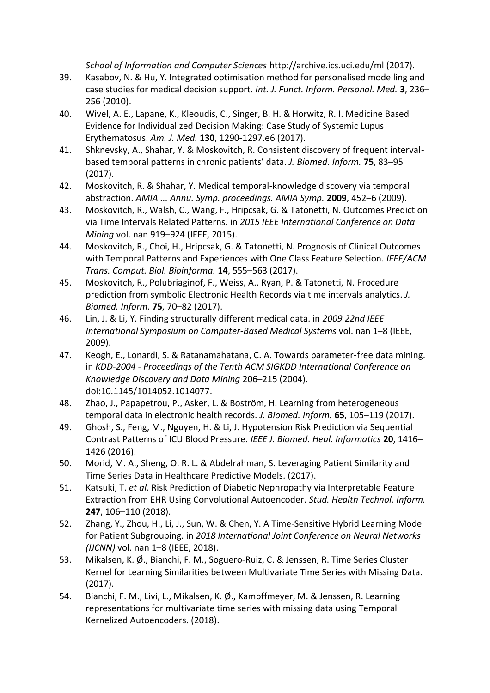*School of Information and Computer Sciences* http://archive.ics.uci.edu/ml (2017).

- 39. Kasabov, N. & Hu, Y. Integrated optimisation method for personalised modelling and case studies for medical decision support. *Int. J. Funct. Inform. Personal. Med.* **3**, 236– 256 (2010).
- 40. Wivel, A. E., Lapane, K., Kleoudis, C., Singer, B. H. & Horwitz, R. I. Medicine Based Evidence for Individualized Decision Making: Case Study of Systemic Lupus Erythematosus. *Am. J. Med.* **130**, 1290-1297.e6 (2017).
- 41. Shknevsky, A., Shahar, Y. & Moskovitch, R. Consistent discovery of frequent intervalbased temporal patterns in chronic patients' data. *J. Biomed. Inform.* **75**, 83–95 (2017).
- 42. Moskovitch, R. & Shahar, Y. Medical temporal-knowledge discovery via temporal abstraction. *AMIA ... Annu. Symp. proceedings. AMIA Symp.* **2009**, 452–6 (2009).
- 43. Moskovitch, R., Walsh, C., Wang, F., Hripcsak, G. & Tatonetti, N. Outcomes Prediction via Time Intervals Related Patterns. in *2015 IEEE International Conference on Data Mining* vol. nan 919–924 (IEEE, 2015).
- 44. Moskovitch, R., Choi, H., Hripcsak, G. & Tatonetti, N. Prognosis of Clinical Outcomes with Temporal Patterns and Experiences with One Class Feature Selection. *IEEE/ACM Trans. Comput. Biol. Bioinforma.* **14**, 555–563 (2017).
- 45. Moskovitch, R., Polubriaginof, F., Weiss, A., Ryan, P. & Tatonetti, N. Procedure prediction from symbolic Electronic Health Records via time intervals analytics. *J. Biomed. Inform.* **75**, 70–82 (2017).
- 46. Lin, J. & Li, Y. Finding structurally different medical data. in *2009 22nd IEEE International Symposium on Computer-Based Medical Systems* vol. nan 1–8 (IEEE, 2009).
- 47. Keogh, E., Lonardi, S. & Ratanamahatana, C. A. Towards parameter-free data mining. in *KDD-2004 - Proceedings of the Tenth ACM SIGKDD International Conference on Knowledge Discovery and Data Mining* 206–215 (2004). doi:10.1145/1014052.1014077.
- 48. Zhao, J., Papapetrou, P., Asker, L. & Boström, H. Learning from heterogeneous temporal data in electronic health records. *J. Biomed. Inform.* **65**, 105–119 (2017).
- 49. Ghosh, S., Feng, M., Nguyen, H. & Li, J. Hypotension Risk Prediction via Sequential Contrast Patterns of ICU Blood Pressure. *IEEE J. Biomed. Heal. Informatics* **20**, 1416– 1426 (2016).
- 50. Morid, M. A., Sheng, O. R. L. & Abdelrahman, S. Leveraging Patient Similarity and Time Series Data in Healthcare Predictive Models. (2017).
- 51. Katsuki, T. *et al.* Risk Prediction of Diabetic Nephropathy via Interpretable Feature Extraction from EHR Using Convolutional Autoencoder. *Stud. Health Technol. Inform.* **247**, 106–110 (2018).
- 52. Zhang, Y., Zhou, H., Li, J., Sun, W. & Chen, Y. A Time-Sensitive Hybrid Learning Model for Patient Subgrouping. in *2018 International Joint Conference on Neural Networks (IJCNN)* vol. nan 1–8 (IEEE, 2018).
- 53. Mikalsen, K. Ø., Bianchi, F. M., Soguero-Ruiz, C. & Jenssen, R. Time Series Cluster Kernel for Learning Similarities between Multivariate Time Series with Missing Data. (2017).
- 54. Bianchi, F. M., Livi, L., Mikalsen, K. Ø., Kampffmeyer, M. & Jenssen, R. Learning representations for multivariate time series with missing data using Temporal Kernelized Autoencoders. (2018).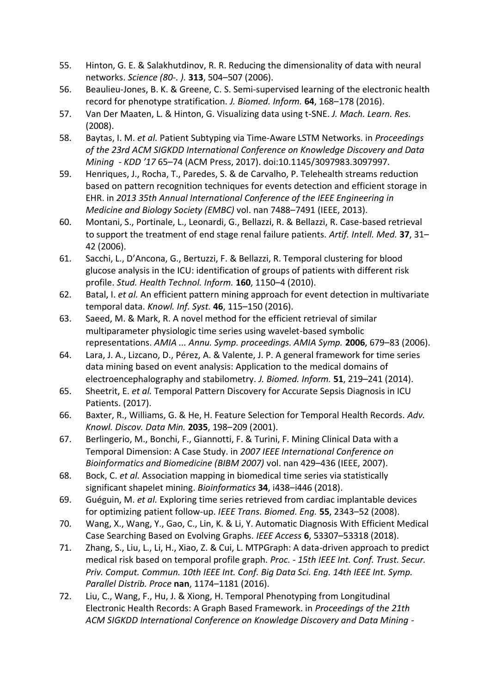- 55. Hinton, G. E. & Salakhutdinov, R. R. Reducing the dimensionality of data with neural networks. *Science (80-. ).* **313**, 504–507 (2006).
- 56. Beaulieu-Jones, B. K. & Greene, C. S. Semi-supervised learning of the electronic health record for phenotype stratification. *J. Biomed. Inform.* **64**, 168–178 (2016).
- 57. Van Der Maaten, L. & Hinton, G. Visualizing data using t-SNE. *J. Mach. Learn. Res.* (2008).
- 58. Baytas, I. M. *et al.* Patient Subtyping via Time-Aware LSTM Networks. in *Proceedings of the 23rd ACM SIGKDD International Conference on Knowledge Discovery and Data Mining - KDD '17* 65–74 (ACM Press, 2017). doi:10.1145/3097983.3097997.
- 59. Henriques, J., Rocha, T., Paredes, S. & de Carvalho, P. Telehealth streams reduction based on pattern recognition techniques for events detection and efficient storage in EHR. in *2013 35th Annual International Conference of the IEEE Engineering in Medicine and Biology Society (EMBC)* vol. nan 7488–7491 (IEEE, 2013).
- 60. Montani, S., Portinale, L., Leonardi, G., Bellazzi, R. & Bellazzi, R. Case-based retrieval to support the treatment of end stage renal failure patients. *Artif. Intell. Med.* **37**, 31– 42 (2006).
- 61. Sacchi, L., D'Ancona, G., Bertuzzi, F. & Bellazzi, R. Temporal clustering for blood glucose analysis in the ICU: identification of groups of patients with different risk profile. *Stud. Health Technol. Inform.* **160**, 1150–4 (2010).
- 62. Batal, I. *et al.* An efficient pattern mining approach for event detection in multivariate temporal data. *Knowl. Inf. Syst.* **46**, 115–150 (2016).
- 63. Saeed, M. & Mark, R. A novel method for the efficient retrieval of similar multiparameter physiologic time series using wavelet-based symbolic representations. *AMIA ... Annu. Symp. proceedings. AMIA Symp.* **2006**, 679–83 (2006).
- 64. Lara, J. A., Lizcano, D., Pérez, A. & Valente, J. P. A general framework for time series data mining based on event analysis: Application to the medical domains of electroencephalography and stabilometry. *J. Biomed. Inform.* **51**, 219–241 (2014).
- 65. Sheetrit, E. *et al.* Temporal Pattern Discovery for Accurate Sepsis Diagnosis in ICU Patients. (2017).
- 66. Baxter, R., Williams, G. & He, H. Feature Selection for Temporal Health Records. *Adv. Knowl. Discov. Data Min.* **2035**, 198–209 (2001).
- 67. Berlingerio, M., Bonchi, F., Giannotti, F. & Turini, F. Mining Clinical Data with a Temporal Dimension: A Case Study. in *2007 IEEE International Conference on Bioinformatics and Biomedicine (BIBM 2007)* vol. nan 429–436 (IEEE, 2007).
- 68. Bock, C. *et al.* Association mapping in biomedical time series via statistically significant shapelet mining. *Bioinformatics* **34**, i438–i446 (2018).
- 69. Guéguin, M. *et al.* Exploring time series retrieved from cardiac implantable devices for optimizing patient follow-up. *IEEE Trans. Biomed. Eng.* **55**, 2343–52 (2008).
- 70. Wang, X., Wang, Y., Gao, C., Lin, K. & Li, Y. Automatic Diagnosis With Efficient Medical Case Searching Based on Evolving Graphs. *IEEE Access* **6**, 53307–53318 (2018).
- 71. Zhang, S., Liu, L., Li, H., Xiao, Z. & Cui, L. MTPGraph: A data-driven approach to predict medical risk based on temporal profile graph. *Proc. - 15th IEEE Int. Conf. Trust. Secur. Priv. Comput. Commun. 10th IEEE Int. Conf. Big Data Sci. Eng. 14th IEEE Int. Symp. Parallel Distrib. Proce* **nan**, 1174–1181 (2016).
- 72. Liu, C., Wang, F., Hu, J. & Xiong, H. Temporal Phenotyping from Longitudinal Electronic Health Records: A Graph Based Framework. in *Proceedings of the 21th ACM SIGKDD International Conference on Knowledge Discovery and Data Mining -*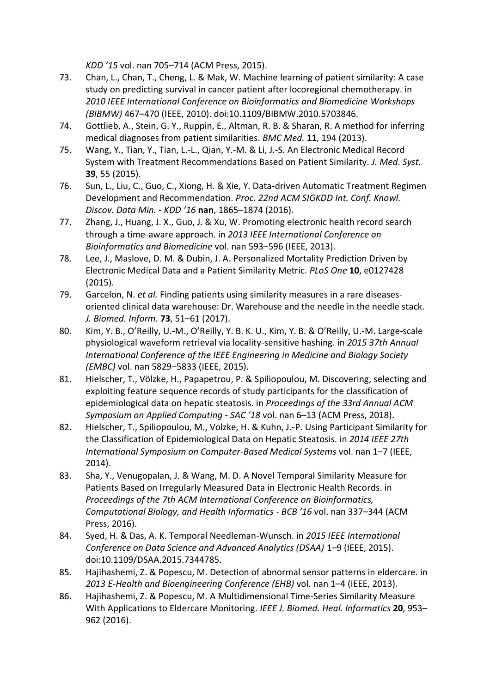*KDD '15* vol. nan 705–714 (ACM Press, 2015).

- 73. Chan, L., Chan, T., Cheng, L. & Mak, W. Machine learning of patient similarity: A case study on predicting survival in cancer patient after locoregional chemotherapy. in *2010 IEEE International Conference on Bioinformatics and Biomedicine Workshops (BIBMW)* 467–470 (IEEE, 2010). doi:10.1109/BIBMW.2010.5703846.
- 74. Gottlieb, A., Stein, G. Y., Ruppin, E., Altman, R. B. & Sharan, R. A method for inferring medical diagnoses from patient similarities. *BMC Med.* **11**, 194 (2013).
- 75. Wang, Y., Tian, Y., Tian, L.-L., Qian, Y.-M. & Li, J.-S. An Electronic Medical Record System with Treatment Recommendations Based on Patient Similarity. *J. Med. Syst.* **39**, 55 (2015).
- 76. Sun, L., Liu, C., Guo, C., Xiong, H. & Xie, Y. Data-driven Automatic Treatment Regimen Development and Recommendation. *Proc. 22nd ACM SIGKDD Int. Conf. Knowl. Discov. Data Min. - KDD '16* **nan**, 1865–1874 (2016).
- 77. Zhang, J., Huang, J. X., Guo, J. & Xu, W. Promoting electronic health record search through a time-aware approach. in *2013 IEEE International Conference on Bioinformatics and Biomedicine* vol. nan 593–596 (IEEE, 2013).
- 78. Lee, J., Maslove, D. M. & Dubin, J. A. Personalized Mortality Prediction Driven by Electronic Medical Data and a Patient Similarity Metric. *PLoS One* **10**, e0127428 (2015).
- 79. Garcelon, N. *et al.* Finding patients using similarity measures in a rare diseasesoriented clinical data warehouse: Dr. Warehouse and the needle in the needle stack. *J. Biomed. Inform.* **73**, 51–61 (2017).
- 80. Kim, Y. B., O'Reilly, U.-M., O'Reilly, Y. B. K. U., Kim, Y. B. & O'Reilly, U.-M. Large-scale physiological waveform retrieval via locality-sensitive hashing. in *2015 37th Annual International Conference of the IEEE Engineering in Medicine and Biology Society (EMBC)* vol. nan 5829–5833 (IEEE, 2015).
- 81. Hielscher, T., Völzke, H., Papapetrou, P. & Spiliopoulou, M. Discovering, selecting and exploiting feature sequence records of study participants for the classification of epidemiological data on hepatic steatosis. in *Proceedings of the 33rd Annual ACM Symposium on Applied Computing - SAC '18* vol. nan 6–13 (ACM Press, 2018).
- 82. Hielscher, T., Spiliopoulou, M., Volzke, H. & Kuhn, J.-P. Using Participant Similarity for the Classification of Epidemiological Data on Hepatic Steatosis. in *2014 IEEE 27th International Symposium on Computer-Based Medical Systems* vol. nan 1–7 (IEEE, 2014).
- 83. Sha, Y., Venugopalan, J. & Wang, M. D. A Novel Temporal Similarity Measure for Patients Based on Irregularly Measured Data in Electronic Health Records. in *Proceedings of the 7th ACM International Conference on Bioinformatics, Computational Biology, and Health Informatics - BCB '16* vol. nan 337–344 (ACM Press, 2016).
- 84. Syed, H. & Das, A. K. Temporal Needleman-Wunsch. in *2015 IEEE International Conference on Data Science and Advanced Analytics (DSAA)* 1–9 (IEEE, 2015). doi:10.1109/DSAA.2015.7344785.
- 85. Hajihashemi, Z. & Popescu, M. Detection of abnormal sensor patterns in eldercare. in *2013 E-Health and Bioengineering Conference (EHB)* vol. nan 1–4 (IEEE, 2013).
- 86. Hajihashemi, Z. & Popescu, M. A Multidimensional Time-Series Similarity Measure With Applications to Eldercare Monitoring. *IEEE J. Biomed. Heal. Informatics* **20**, 953– 962 (2016).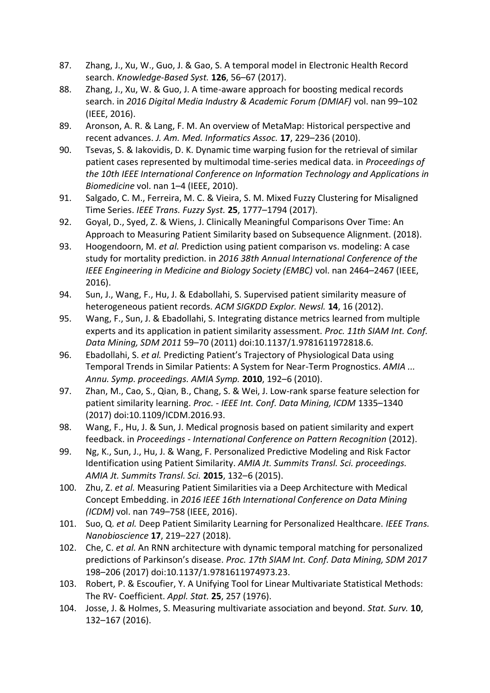- 87. Zhang, J., Xu, W., Guo, J. & Gao, S. A temporal model in Electronic Health Record search. *Knowledge-Based Syst.* **126**, 56–67 (2017).
- 88. Zhang, J., Xu, W. & Guo, J. A time-aware approach for boosting medical records search. in *2016 Digital Media Industry & Academic Forum (DMIAF)* vol. nan 99–102 (IEEE, 2016).
- 89. Aronson, A. R. & Lang, F. M. An overview of MetaMap: Historical perspective and recent advances. *J. Am. Med. Informatics Assoc.* **17**, 229–236 (2010).
- 90. Tsevas, S. & Iakovidis, D. K. Dynamic time warping fusion for the retrieval of similar patient cases represented by multimodal time-series medical data. in *Proceedings of the 10th IEEE International Conference on Information Technology and Applications in Biomedicine* vol. nan 1–4 (IEEE, 2010).
- 91. Salgado, C. M., Ferreira, M. C. & Vieira, S. M. Mixed Fuzzy Clustering for Misaligned Time Series. *IEEE Trans. Fuzzy Syst.* **25**, 1777–1794 (2017).
- 92. Goyal, D., Syed, Z. & Wiens, J. Clinically Meaningful Comparisons Over Time: An Approach to Measuring Patient Similarity based on Subsequence Alignment. (2018).
- 93. Hoogendoorn, M. *et al.* Prediction using patient comparison vs. modeling: A case study for mortality prediction. in *2016 38th Annual International Conference of the IEEE Engineering in Medicine and Biology Society (EMBC)* vol. nan 2464–2467 (IEEE, 2016).
- 94. Sun, J., Wang, F., Hu, J. & Edabollahi, S. Supervised patient similarity measure of heterogeneous patient records. *ACM SIGKDD Explor. Newsl.* **14**, 16 (2012).
- 95. Wang, F., Sun, J. & Ebadollahi, S. Integrating distance metrics learned from multiple experts and its application in patient similarity assessment. *Proc. 11th SIAM Int. Conf. Data Mining, SDM 2011* 59–70 (2011) doi:10.1137/1.9781611972818.6.
- 96. Ebadollahi, S. *et al.* Predicting Patient's Trajectory of Physiological Data using Temporal Trends in Similar Patients: A System for Near-Term Prognostics. *AMIA ... Annu. Symp. proceedings. AMIA Symp.* **2010**, 192–6 (2010).
- 97. Zhan, M., Cao, S., Qian, B., Chang, S. & Wei, J. Low-rank sparse feature selection for patient similarity learning. *Proc. - IEEE Int. Conf. Data Mining, ICDM* 1335–1340 (2017) doi:10.1109/ICDM.2016.93.
- 98. Wang, F., Hu, J. & Sun, J. Medical prognosis based on patient similarity and expert feedback. in *Proceedings - International Conference on Pattern Recognition* (2012).
- 99. Ng, K., Sun, J., Hu, J. & Wang, F. Personalized Predictive Modeling and Risk Factor Identification using Patient Similarity. *AMIA Jt. Summits Transl. Sci. proceedings. AMIA Jt. Summits Transl. Sci.* **2015**, 132–6 (2015).
- 100. Zhu, Z. *et al.* Measuring Patient Similarities via a Deep Architecture with Medical Concept Embedding. in *2016 IEEE 16th International Conference on Data Mining (ICDM)* vol. nan 749–758 (IEEE, 2016).
- 101. Suo, Q. *et al.* Deep Patient Similarity Learning for Personalized Healthcare. *IEEE Trans. Nanobioscience* **17**, 219–227 (2018).
- 102. Che, C. *et al.* An RNN architecture with dynamic temporal matching for personalized predictions of Parkinson's disease. *Proc. 17th SIAM Int. Conf. Data Mining, SDM 2017* 198–206 (2017) doi:10.1137/1.9781611974973.23.
- 103. Robert, P. & Escoufier, Y. A Unifying Tool for Linear Multivariate Statistical Methods: The RV- Coefficient. *Appl. Stat.* **25**, 257 (1976).
- 104. Josse, J. & Holmes, S. Measuring multivariate association and beyond. *Stat. Surv.* **10**, 132–167 (2016).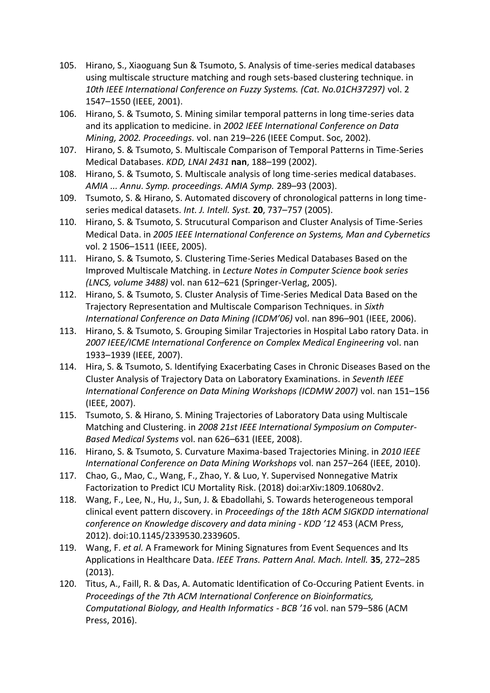- 105. Hirano, S., Xiaoguang Sun & Tsumoto, S. Analysis of time-series medical databases using multiscale structure matching and rough sets-based clustering technique. in *10th IEEE International Conference on Fuzzy Systems. (Cat. No.01CH37297)* vol. 2 1547–1550 (IEEE, 2001).
- 106. Hirano, S. & Tsumoto, S. Mining similar temporal patterns in long time-series data and its application to medicine. in *2002 IEEE International Conference on Data Mining, 2002. Proceedings.* vol. nan 219–226 (IEEE Comput. Soc, 2002).
- 107. Hirano, S. & Tsumoto, S. Multiscale Comparison of Temporal Patterns in Time-Series Medical Databases. *KDD, LNAI 2431* **nan**, 188–199 (2002).
- 108. Hirano, S. & Tsumoto, S. Multiscale analysis of long time-series medical databases. *AMIA ... Annu. Symp. proceedings. AMIA Symp.* 289–93 (2003).
- 109. Tsumoto, S. & Hirano, S. Automated discovery of chronological patterns in long timeseries medical datasets. *Int. J. Intell. Syst.* **20**, 737–757 (2005).
- 110. Hirano, S. & Tsumoto, S. Strucutural Comparison and Cluster Analysis of Time-Series Medical Data. in *2005 IEEE International Conference on Systems, Man and Cybernetics* vol. 2 1506–1511 (IEEE, 2005).
- 111. Hirano, S. & Tsumoto, S. Clustering Time-Series Medical Databases Based on the Improved Multiscale Matching. in *Lecture Notes in Computer Science book series (LNCS, volume 3488)* vol. nan 612–621 (Springer-Verlag, 2005).
- 112. Hirano, S. & Tsumoto, S. Cluster Analysis of Time-Series Medical Data Based on the Trajectory Representation and Multiscale Comparison Techniques. in *Sixth International Conference on Data Mining (ICDM'06)* vol. nan 896–901 (IEEE, 2006).
- 113. Hirano, S. & Tsumoto, S. Grouping Similar Trajectories in Hospital Labo ratory Data. in *2007 IEEE/ICME International Conference on Complex Medical Engineering* vol. nan 1933–1939 (IEEE, 2007).
- 114. Hira, S. & Tsumoto, S. Identifying Exacerbating Cases in Chronic Diseases Based on the Cluster Analysis of Trajectory Data on Laboratory Examinations. in *Seventh IEEE International Conference on Data Mining Workshops (ICDMW 2007)* vol. nan 151–156 (IEEE, 2007).
- 115. Tsumoto, S. & Hirano, S. Mining Trajectories of Laboratory Data using Multiscale Matching and Clustering. in *2008 21st IEEE International Symposium on Computer-Based Medical Systems* vol. nan 626–631 (IEEE, 2008).
- 116. Hirano, S. & Tsumoto, S. Curvature Maxima-based Trajectories Mining. in *2010 IEEE International Conference on Data Mining Workshops* vol. nan 257–264 (IEEE, 2010).
- 117. Chao, G., Mao, C., Wang, F., Zhao, Y. & Luo, Y. Supervised Nonnegative Matrix Factorization to Predict ICU Mortality Risk. (2018) doi:arXiv:1809.10680v2.
- 118. Wang, F., Lee, N., Hu, J., Sun, J. & Ebadollahi, S. Towards heterogeneous temporal clinical event pattern discovery. in *Proceedings of the 18th ACM SIGKDD international conference on Knowledge discovery and data mining - KDD '12* 453 (ACM Press, 2012). doi:10.1145/2339530.2339605.
- 119. Wang, F. *et al.* A Framework for Mining Signatures from Event Sequences and Its Applications in Healthcare Data. *IEEE Trans. Pattern Anal. Mach. Intell.* **35**, 272–285 (2013).
- 120. Titus, A., Faill, R. & Das, A. Automatic Identification of Co-Occuring Patient Events. in *Proceedings of the 7th ACM International Conference on Bioinformatics, Computational Biology, and Health Informatics - BCB '16* vol. nan 579–586 (ACM Press, 2016).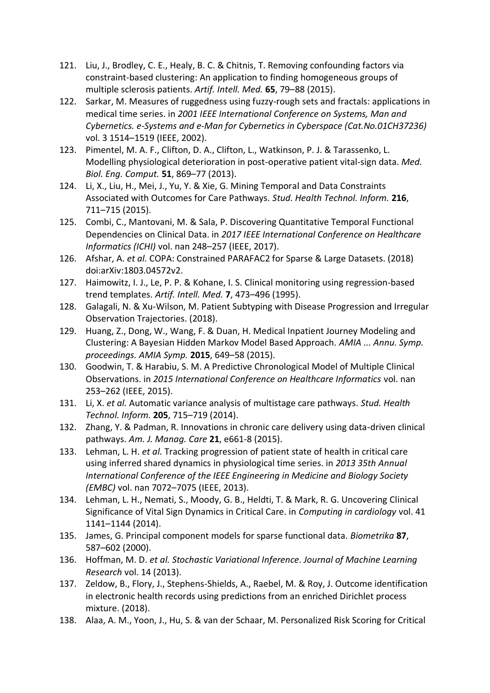- 121. Liu, J., Brodley, C. E., Healy, B. C. & Chitnis, T. Removing confounding factors via constraint-based clustering: An application to finding homogeneous groups of multiple sclerosis patients. *Artif. Intell. Med.* **65**, 79–88 (2015).
- 122. Sarkar, M. Measures of ruggedness using fuzzy-rough sets and fractals: applications in medical time series. in *2001 IEEE International Conference on Systems, Man and Cybernetics. e-Systems and e-Man for Cybernetics in Cyberspace (Cat.No.01CH37236)* vol. 3 1514–1519 (IEEE, 2002).
- 123. Pimentel, M. A. F., Clifton, D. A., Clifton, L., Watkinson, P. J. & Tarassenko, L. Modelling physiological deterioration in post-operative patient vital-sign data. *Med. Biol. Eng. Comput.* **51**, 869–77 (2013).
- 124. Li, X., Liu, H., Mei, J., Yu, Y. & Xie, G. Mining Temporal and Data Constraints Associated with Outcomes for Care Pathways. *Stud. Health Technol. Inform.* **216**, 711–715 (2015).
- 125. Combi, C., Mantovani, M. & Sala, P. Discovering Quantitative Temporal Functional Dependencies on Clinical Data. in *2017 IEEE International Conference on Healthcare Informatics (ICHI)* vol. nan 248–257 (IEEE, 2017).
- 126. Afshar, A. *et al.* COPA: Constrained PARAFAC2 for Sparse & Large Datasets. (2018) doi:arXiv:1803.04572v2.
- 127. Haimowitz, I. J., Le, P. P. & Kohane, I. S. Clinical monitoring using regression-based trend templates. *Artif. Intell. Med.* **7**, 473–496 (1995).
- 128. Galagali, N. & Xu-Wilson, M. Patient Subtyping with Disease Progression and Irregular Observation Trajectories. (2018).
- 129. Huang, Z., Dong, W., Wang, F. & Duan, H. Medical Inpatient Journey Modeling and Clustering: A Bayesian Hidden Markov Model Based Approach. *AMIA ... Annu. Symp. proceedings. AMIA Symp.* **2015**, 649–58 (2015).
- 130. Goodwin, T. & Harabiu, S. M. A Predictive Chronological Model of Multiple Clinical Observations. in *2015 International Conference on Healthcare Informatics* vol. nan 253–262 (IEEE, 2015).
- 131. Li, X. *et al.* Automatic variance analysis of multistage care pathways. *Stud. Health Technol. Inform.* **205**, 715–719 (2014).
- 132. Zhang, Y. & Padman, R. Innovations in chronic care delivery using data-driven clinical pathways. *Am. J. Manag. Care* **21**, e661-8 (2015).
- 133. Lehman, L. H. *et al.* Tracking progression of patient state of health in critical care using inferred shared dynamics in physiological time series. in *2013 35th Annual International Conference of the IEEE Engineering in Medicine and Biology Society (EMBC)* vol. nan 7072–7075 (IEEE, 2013).
- 134. Lehman, L. H., Nemati, S., Moody, G. B., Heldti, T. & Mark, R. G. Uncovering Clinical Significance of Vital Sign Dynamics in Critical Care. in *Computing in cardiology* vol. 41 1141–1144 (2014).
- 135. James, G. Principal component models for sparse functional data. *Biometrika* **87**, 587–602 (2000).
- 136. Hoffman, M. D. *et al. Stochastic Variational Inference*. *Journal of Machine Learning Research* vol. 14 (2013).
- 137. Zeldow, B., Flory, J., Stephens-Shields, A., Raebel, M. & Roy, J. Outcome identification in electronic health records using predictions from an enriched Dirichlet process mixture. (2018).
- 138. Alaa, A. M., Yoon, J., Hu, S. & van der Schaar, M. Personalized Risk Scoring for Critical